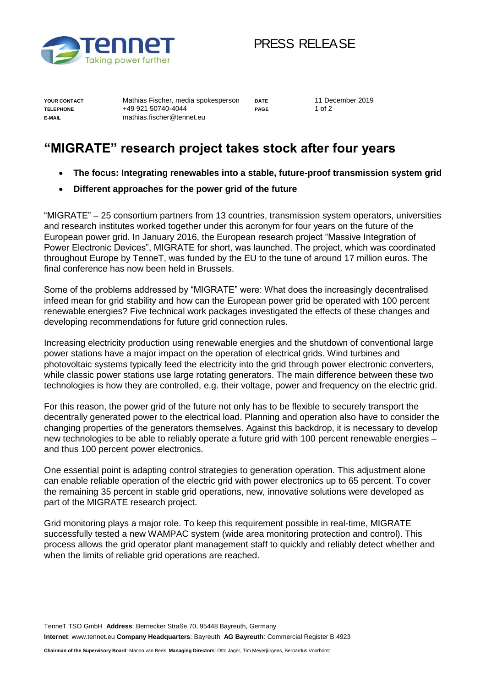

## PRESS RELEASE

**YOUR CONTACT** Mathias Fischer, media spokesperson **DATE** 11 December 2019 **TELEPHONE** +49 921 50740-4044 **PAGE** 1 of 2 **E-MAIL** mathias.fischer@tennet.eu

## **"MIGRATE" research project takes stock after four years**

- **The focus: Integrating renewables into a stable, future-proof transmission system grid**
- **Different approaches for the power grid of the future**

"MIGRATE" – 25 consortium partners from 13 countries, transmission system operators, universities and research institutes worked together under this acronym for four years on the future of the European power grid. In January 2016, the European research project "Massive Integration of Power Electronic Devices", MIGRATE for short, was launched. The project, which was coordinated throughout Europe by TenneT, was funded by the EU to the tune of around 17 million euros. The final conference has now been held in Brussels.

Some of the problems addressed by "MIGRATE" were: What does the increasingly decentralised infeed mean for grid stability and how can the European power grid be operated with 100 percent renewable energies? Five technical work packages investigated the effects of these changes and developing recommendations for future grid connection rules.

Increasing electricity production using renewable energies and the shutdown of conventional large power stations have a major impact on the operation of electrical grids. Wind turbines and photovoltaic systems typically feed the electricity into the grid through power electronic converters, while classic power stations use large rotating generators. The main difference between these two technologies is how they are controlled, e.g. their voltage, power and frequency on the electric grid.

For this reason, the power grid of the future not only has to be flexible to securely transport the decentrally generated power to the electrical load. Planning and operation also have to consider the changing properties of the generators themselves. Against this backdrop, it is necessary to develop new technologies to be able to reliably operate a future grid with 100 percent renewable energies – and thus 100 percent power electronics.

One essential point is adapting control strategies to generation operation. This adjustment alone can enable reliable operation of the electric grid with power electronics up to 65 percent. To cover the remaining 35 percent in stable grid operations, new, innovative solutions were developed as part of the MIGRATE research project.

Grid monitoring plays a major role. To keep this requirement possible in real-time, MIGRATE successfully tested a new WAMPAC system (wide area monitoring protection and control). This process allows the grid operator plant management staff to quickly and reliably detect whether and when the limits of reliable grid operations are reached.